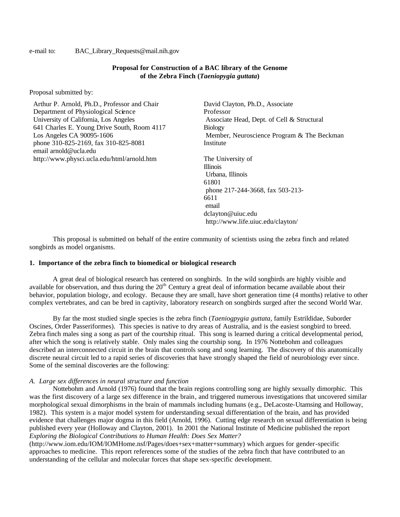#### e-mail to: BAC\_Library\_Requests@mail.nih.gov

# **Proposal for Construction of a BAC library of the Genome of the Zebra Finch (***Taeniopygia guttata***)**

Proposal submitted by:

Arthur P. Arnold, Ph.D., Professor and Chair Department of Physiological Science University of California, Los Angeles 641 Charles E. Young Drive South, Room 4117 Los Angeles CA 90095-1606 phone 310-825-2169, fax 310-825-8081 email arnold@ucla.edu http://www.physci.ucla.edu/html/arnold.htm

David Clayton, Ph.D., Associate Professor Associate Head, Dept. of Cell & Structural Biology Member, Neuroscience Program & The Beckman Institute

The University of Illinois Urbana, Illinois 61801 phone 217-244-3668, fax 503-213- 6611 email dclayton@uiuc.edu http://www.life.uiuc.edu/clayton/

This proposal is submitted on behalf of the entire community of scientists using the zebra finch and related songbirds as model organisms.

#### **1. Importance of the zebra finch to biomedical or biological research**

A great deal of biological research has centered on songbirds. In the wild songbirds are highly visible and available for observation, and thus during the  $20<sup>th</sup>$  Century a great deal of information became available about their behavior, population biology, and ecology. Because they are small, have short generation time (4 months) relative to other complex vertebrates, and can be bred in captivity, laboratory research on songbirds surged after the second World War.

By far the most studied single species is the zebra finch (*Taeniogpygia guttata*, family Estrildidae, Suborder Oscines, Order Passeriformes). This species is native to dry areas of Australia, and is the easiest songbird to breed. Zebra finch males sing a song as part of the courtship ritual. This song is learned during a critical developmental period, after which the song is relatively stable. Only males sing the courtship song. In 1976 Nottebohm and colleagues described an interconnected circuit in the brain that controls song and song learning. The discovery of this anatomically discrete neural circuit led to a rapid series of discoveries that have strongly shaped the field of neurobiology ever since. Some of the seminal discoveries are the following:

### *A. Large sex differences in neural structure and function*

Nottebohm and Arnold (1976) found that the brain regions controlling song are highly sexually dimorphic. This was the first discovery of a large sex difference in the brain, and triggered numerous investigations that uncovered similar morphological sexual dimorphisms in the brain of mammals including humans (e.g., DeLacoste-Utamsing and Holloway, 1982). This system is a major model system for understanding sexual differentiation of the brain, and has provided evidence that challenges major dogma in this field (Arnold, 1996). Cutting edge research on sexual differentiation is being published every year (Holloway and Clayton, 2001). In 2001 the National Institute of Medicine published the report *Exploring the Biological Contributions to Human Health: Does Sex Matter?* 

(http://www.iom.edu/IOM/IOMHome.nsf/Pages/does+sex+matter+summary) which argues for gender-specific approaches to medicine. This report references some of the studies of the zebra finch that have contributed to an understanding of the cellular and molecular forces that shape sex-specific development.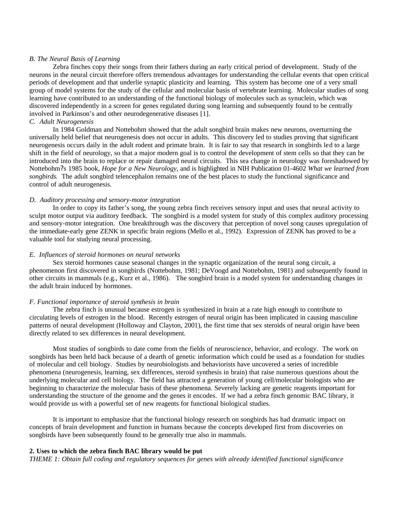#### *B. The Neural Basis of Learning*

Zebra finches copy their songs from their fathers during an early critical period of development. Study of the neurons in the neural circuit therefore offers tremendous advantages for understanding the cellular events that open critical periods of development and that underlie synaptic plasticity and learning. This system has become one of a very small group of model systems for the study of the cellular and molecular basis of vertebrate learning. Molecular studies of song learning have contributed to an understanding of the functional biology of molecules such as synuclein, which was discovered independently in a screen for genes regulated during song learning and subsequently found to be centrally involved in Parkinson's and other neurodegenerative diseases [1].

### *C. Adult Neurogenesis*

In 1984 Goldman and Nottebohm showed that the adult songbird brain makes new neurons, overturning the universally held belief that neurogenesis does not occur in adults. This discovery led to studies proving that significant neurogenesis occurs daily in the adult rodent and primate brain. It is fair to say that research in songbirds led to a large shift in the field of neurology, so that a major modern goal is to control the development of stem cells so that they can be introduced into the brain to replace or repair damaged neural circuits. This sea change in neurology was foreshadowed by Nottebohm?s 1985 book, *Hope for a New Neurology,* and is highlighted in NIH Publication 01-4602 *What we learned from songbirds.* The adult songbird telencephalon remains one of the best places to study the functional significance and control of adult neurogenesis.

#### *D. Auditory processing and sensory-motor integration*

In order to copy its father's song, the young zebra finch receives sensory input and uses that neural activity to sculpt motor output via auditory feedback. The songbird is a model system for study of this complex auditory processing and sensory-motor integration. One breakthrough was the discovery that perception of novel song causes upregulation of the immediate-early gene ZENK in specific brain regions (Mello et al., 1992). Expression of ZENK has proved to be a valuable tool for studying neural processing.

#### *E. Influences of steroid hormones on neural networks*

Sex steroid hormones cause seasonal changes in the synaptic organization of the neural song circuit, a phenomenon first discovered in songbirds (Nottebohm, 1981; DeVoogd and Nottebohm, 1981) and subsequently found in other circuits in mammals (e.g., Kurz et al., 1986). The songbird brain is a model system for understanding changes in the adult brain induced by hormones.

### *F. Functional importance of steroid synthesis in brain*

The zebra finch is unusual because estrogen is synthesized in brain at a rate high enough to contribute to circulating levels of estrogen in the blood. Recently estrogen of neural origin has been implicated in causing masculine patterns of neural development (Holloway and Clayton, 2001), the first time that sex steroids of neural origin have been directly related to sex differences in neural development.

Most studies of songbirds to date come from the fields of neuroscience, behavior, and ecology. The work on songbirds has been held back because of a dearth of genetic information which could be used as a foundation for studies of molecular and cell biology. Studies by neurobiologists and behaviorists have uncovered a series of incredible phenomena (neurogenesis, learning, sex differences, steroid synthesis in brain) that raise numerous questions about the underlying molecular and cell biology. The field has attracted a generation of young cell/molecular biologists who are beginning to characterize the molecular basis of these phenomena. Severely lacking are genetic reagents important for understanding the structure of the genome and the genes it encodes. If we had a zebra finch genomic BAC library, it would provide us with a powerful set of new reagents for functional biological studies.

It is important to emphasize that the functional biology research on songbirds has had dramatic impact on concepts of brain development and function in humans because the concepts developed first from discoveries on songbirds have been subsequently found to be generally true also in mammals.

## **2. Uses to which the zebra finch BAC library would be put**

*THEME 1: Obtain full coding and regulatory sequences for genes with already identified functional significance*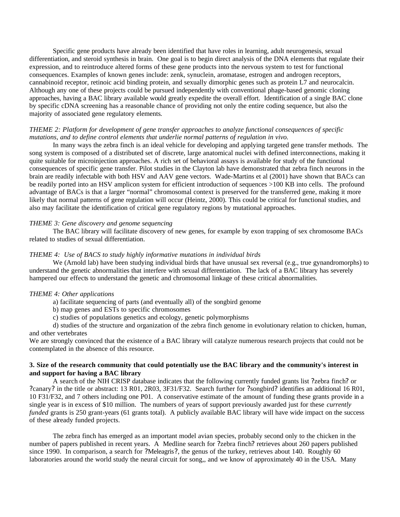Specific gene products have already been identified that have roles in learning, adult neurogenesis, sexual differentiation, and steroid synthesis in brain. One goal is to begin direct analysis of the DNA elements that regulate their expression, and to reintroduce altered forms of these gene products into the nervous system to test for functional consequences. Examples of known genes include: zenk, synuclein, aromatase, estrogen and androgen receptors, cannabinoid receptor, retinoic acid binding protein, and sexually dimorphic genes such as protein L7 and neurocalcin. Although any one of these projects could be pursued independently with conventional phage-based genomic cloning approaches, having a BAC library available would greatly expedite the overall effort. Identification of a single BAC clone by specific cDNA screening has a reasonable chance of providing not only the entire coding sequence, but also the majority of associated gene regulatory elements*.* 

## *THEME 2: Platform for development of gene transfer approaches to analyze functional consequences of specific mutations, and to define control elements that underlie normal patterns of regulation in vivo.*

In many ways the zebra finch is an ideal vehicle for developing and applying targeted gene transfer methods. The song system is composed of a distributed set of discrete, large anatomical nuclei with defined interconnections, making it quite suitable for microinjection approaches. A rich set of behavioral assays is available for study of the functional consequences of specific gene transfer. Pilot studies in the Clayton lab have demonstrated that zebra finch neurons in the brain are readily infectable with both HSV and AAV gene vectors. Wade-Martins et al (2001) have shown that BACs can be readily ported into an HSV amplicon system for efficient introduction of sequences >100 KB into cells. The profound advantage of BACs is that a larger "normal" chromosomal context is preserved for the transferred gene, making it more likely that normal patterns of gene regulation will occur (Heintz, 2000). This could be critical for functional studies, and also may facilitate the identification of critical gene regulatory regions by mutational approaches.

## *THEME 3: Gene discovery and genome sequencing*

The BAC library will facilitate discovery of new genes, for example by exon trapping of sex chromosome BACs related to studies of sexual differentiation.

#### *THEME 4: Use of BACS to study highly informative mutations in individual birds*

We (Arnold lab) have been studying individual birds that have unusual sex reversal (e.g., true gynandromorphs) to understand the genetic abnormalities that interfere with sexual differentiation. The lack of a BAC library has severely hampered our effects to understand the genetic and chromosomal linkage of these critical abnormalities.

# *THEME 4: Other applications*

a) facilitate sequencing of parts (and eventually all) of the songbird genome

- b) map genes and ESTs to specific chromosomes
- c) studies of populations genetics and ecology, genetic polymorphisms

d) studies of the structure and organization of the zebra finch genome in evolutionary relation to chicken, human, and other vertebrates

We are strongly convinced that the existence of a BAC library will catalyze numerous research projects that could not be contemplated in the absence of this resource.

# **3. Size of the research community that could potentially use the BAC library and the community's interest in and support for having a BAC library**

A search of the NIH CRISP database indicates that the following currently funded grants list ? zebra finch? or ? canary? in the title or abstract: 13 R01, 2R03, 3F31/F32. Search further for ?songbird? identifies an additional 16 R01, 10 F31/F32, and 7 others including one P01. A conservative estimate of the amount of funding these grants provide in a single year is in excess of \$10 million. The numbers of years of support previously awarded just for these *currently funded* grants is 250 grant-years (61 grants total). A publicly available BAC library will have wide impact on the success of these already funded projects.

The zebra finch has emerged as an important model avian species, probably second only to the chicken in the number of papers published in recent years. A Medline search for ? zebra finch? retrieves about 260 papers published since 1990. In comparison, a search for ?Meleagris?, the genus of the turkey, retrieves about 140. Roughly 60 laboratories around the world study the neural circuit for song,, and we know of approximately 40 in the USA. Many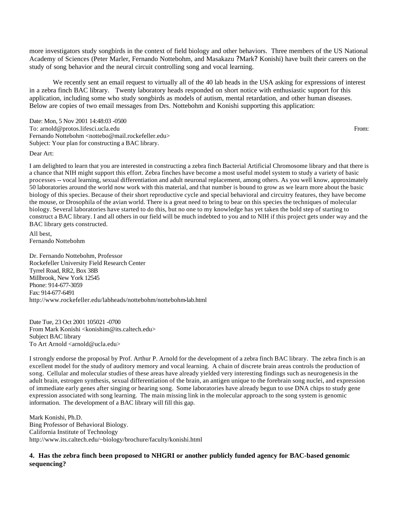more investigators study songbirds in the context of field biology and other behaviors. Three members of the US National Academy of Sciences (Peter Marler, Fernando Nottebohm, and Masakazu ?Mark? Konishi) have built their careers on the study of song behavior and the neural circuit controlling song and vocal learning.

We recently sent an email request to virtually all of the 40 lab heads in the USA asking for expressions of interest in a zebra finch BAC library. Twenty laboratory heads responded on short notice with enthusiastic support for this application, including some who study songbirds as models of autism, mental retardation, and other human diseases. Below are copies of two email messages from Drs. Nottebohm and Konishi supporting this application:

Date: Mon, 5 Nov 2001 14:48:03 -0500 To: arnold@protos.lifesci.ucla.edu From: et al. et al. et al. et al. et al. et al. et al. et al. et al. et al. et al. et al. et al. et al. et al. et al. et al. et al. et al. et al. et al. et al. et al. et al. et al. et al. Fernando Nottebohm <nottebo@mail.rockefeller.edu> Subject: Your plan for constructing a BAC library.

#### Dear Art:

I am delighted to learn that you are interested in constructing a zebra finch Bacterial Artificial Chromosome library and that there is a chance that NIH might support this effort. Zebra finches have become a most useful model system to study a variety of basic processes -- vocal learning, sexual differentiation and adult neuronal replacement, among others. As you well know, approximately 50 laboratories around the world now work with this material, and that number is bound to grow as we learn more about the basic biology of this species. Because of their short reproductive cycle and special behavioral and circuitry features, they have become the mouse, or Drosophila of the avian world. There is a great need to bring to bear on this species the techniques of molecular biology. Several laboratories have started to do this, but no one to my knowledge has yet taken the bold step of starting to construct a BAC library. I and all others in our field will be much indebted to you and to NIH if this project gets under way and the BAC library gets constructed.

All best, Fernando Nottebohm

Dr. Fernando Nottebohm, Professor Rockefeller University Field Research Center Tyrrel Road, RR2, Box 38B Millbrook, New York 12545 Phone: 914-677-3059 Fax: 914-677-6491 http://www.rockefeller.edu/labheads/nottebohm/nottebohm-lab.html

Date Tue, 23 Oct 2001 105021 -0700 From Mark Konishi <konishim@its.caltech.edu> Subject BAC library To Art Arnold <arnold@ucla.edu>

I strongly endorse the proposal by Prof. Arthur P. Arnold for the development of a zebra finch BAC library. The zebra finch is an excellent model for the study of auditory memory and vocal learning. A chain of discrete brain areas controls the production of song. Cellular and molecular studies of these areas have already yielded very interesting findings such as neurogenesis in the adult brain, estrogen synthesis, sexual differentiation of the brain, an antigen unique to the forebrain song nuclei, and expression of immediate early genes after singing or hearing song. Some laboratories have already begun to use DNA chips to study gene expression associated with song learning. The main missing link in the molecular approach to the song system is genomic information. The development of a BAC library will fill this gap.

Mark Konishi, Ph.D. Bing Professor of Behavioral Biology. California Institute of Technology http://www.its.caltech.edu/~biology/brochure/faculty/konishi.html

## **4. Has the zebra finch been proposed to NHGRI or another publicly funded agency for BAC-based genomic sequencing?**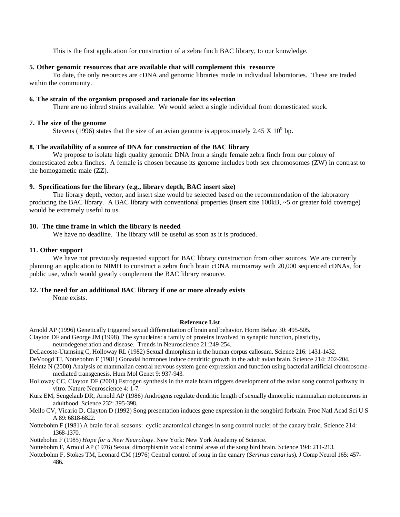This is the first application for construction of a zebra finch BAC library, to our knowledge.

## **5. Other genomic resources that are available that will complement this resource**

To date, the only resources are cDNA and genomic libraries made in individual laboratories. These are traded within the community.

## **6. The strain of the organism proposed and rationale for its selection**

There are no inbred strains available. We would select a single individual from domesticated stock.

### **7. The size of the genome**

Stevens (1996) states that the size of an avian genome is approximately 2.45 X  $10^9$  bp.

# **8. The availability of a source of DNA for construction of the BAC library**

We propose to isolate high quality genomic DNA from a single female zebra finch from our colony of domesticated zebra finches. A female is chosen because its genome includes both sex chromosomes (ZW) in contrast to the homogametic male (ZZ).

# **9. Specifications for the library (e.g., library depth, BAC insert size)**

The library depth, vector, and insert size would be selected based on the recommendation of the laboratory producing the BAC library. A BAC library with conventional properties (insert size 100kB, ~5 or greater fold coverage) would be extremely useful to us.

## **10. The time frame in which the library is needed**

We have no deadline. The library will be useful as soon as it is produced.

## **11. Other support**

We have not previously requested support for BAC library construction from other sources. We are currently planning an application to NIMH to construct a zebra finch brain cDNA microarray with 20,000 sequenced cDNAs, for public use, which would greatly complement the BAC library resource.

### **12. The need for an additional BAC library if one or more already exists**

None exists.

## **Reference List**

Arnold AP (1996) Genetically triggered sexual differentiation of brain and behavior. Horm Behav 30: 495-505.

- Clayton DF and George JM (1998) The synucleins: a family of proteins involved in synaptic function, plasticity,
- neurodegeneration and disease. Trends in Neuroscience 21:249-254.
- DeLacoste-Utamsing C, Holloway RL (1982) Sexual dimorphism in the human corpus callosum. Science 216: 1431-1432.
- DeVoogd TJ, Nottebohm F (1981) Gonadal hormones induce dendritic growth in the adult avian brain. Science 214: 202-204.
- Heintz N (2000) Analysis of mammalian central nervous system gene expression and function using bacterial artificial chromosomemediated transgenesis. Hum Mol Genet 9: 937-943.
- Holloway CC, Clayton DF (2001) Estrogen synthesis in the male brain triggers development of the avian song control pathway in vitro. Nature Neuroscience 4: 1-7.
- Kurz EM, Sengelaub DR, Arnold AP (1986) Androgens regulate dendritic length of sexually dimorphic mammalian motoneurons in adulthood. Science 232: 395-398.
- Mello CV, Vicario D, Clayton D (1992) Song presentation induces gene expression in the songbird forbrain. Proc Natl Acad Sci U S A 89: 6818-6822.
- Nottebohm F (1981) A brain for all seasons: cyclic anatomical changes in song control nuclei of the canary brain. Science 214: 1368-1370.

Nottebohm F (1985) *Hope for a New Neurology*. New York: New York Academy of Science.

- Nottebohm F, Arnold AP (1976) Sexual dimorphism in vocal control areas of the song bird brain. Science 194: 211-213.
- Nottebohm F, Stokes TM, Leonard CM (1976) Central control of song in the canary (*Serinus canarius*). J Comp Neurol 165: 457- 486.